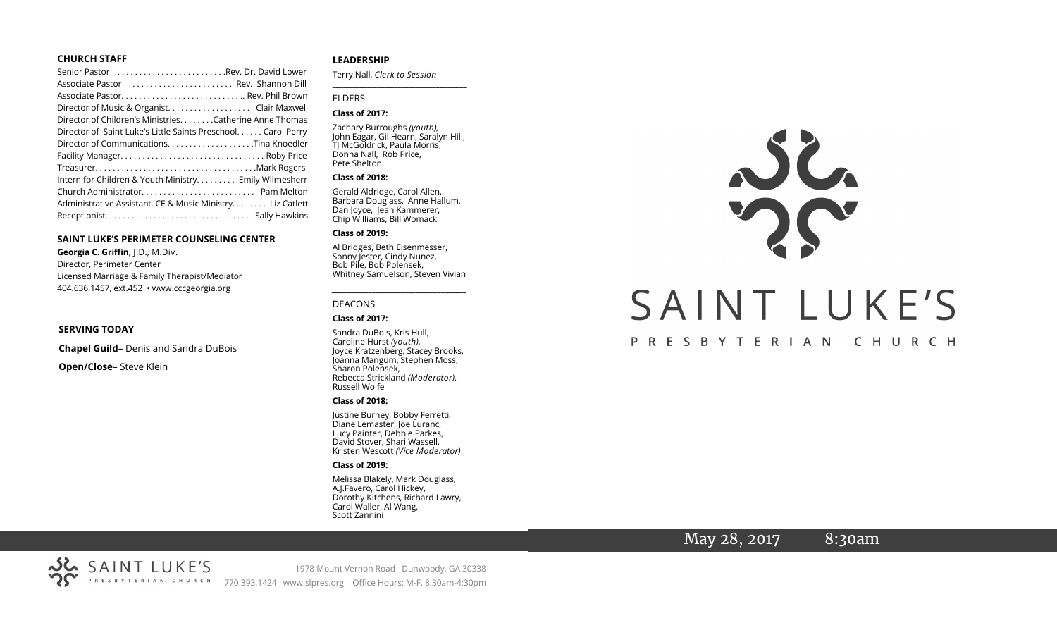#### **CHURCH STAFF**

#### **SAINT LUKE'S PERIMETER COUNSELING CENTER**

**Georgia C. Griffin,** J.D., M.Div. Director, Perimeter Center Licensed Marriage & Family Therapist/Mediator 404.636.1457, ext.452 • www.cccgeorgia.org

#### **SERVING TODAY**

**Chapel Guild**– Denis and Sandra DuBois

**Open/Close**– Steve Klein

#### **LEADERSHIP**

Terry Nall, *Clerk to Session* 

**\_\_\_\_\_\_\_\_\_\_\_\_\_\_\_\_\_\_\_\_\_\_\_\_\_\_\_\_\_\_\_\_\_\_\_\_\_\_\_**

#### ELDERS

#### **Class of 2017:**

Zachary Burroughs *(youth),*  John Eagar, Gil Hearn, Saralyn Hill, TJ McGoldrick, Paula Morris, Donna Nall, Rob Price, Pete Shelton

#### **Class of 2018:**

Gerald Aldridge, Carol Allen, Barbara Douglass, Anne Hallum, Dan Joyce, Jean Kammerer, Chip Williams, Bill Womack

#### **Class of 2019:**

Al Bridges, Beth Eisenmesser, Sonny Jester, Cindy Nunez, Bob Pile, Bob Polensek, Whitney Samuelson, Steven Vivian

*\_\_\_\_\_\_\_\_\_\_\_\_\_\_\_\_\_\_\_\_\_\_\_\_\_\_\_\_\_\_\_\_\_\_\_\_\_*

# DEACONS

#### **Class of 2017:**

Sandra DuBois, Kris Hull, Caroline Hurst *(youth),* Joyce Kratzenberg, Stacey Brooks, Joanna Mangum, Stephen Moss, Sharon Polensek, Rebecca Strickland *(Moderator),*  Russell Wolfe

#### **Class of 2018:**

Justine Burney, Bobby Ferretti, Diane Lemaster, Joe Luranc, Lucy Painter, Debbie Parkes, David Stover, Shari Wassell, Kristen Wescott *(Vice Moderator)*

#### **Class of 2019:**

Melissa Blakely, Mark Douglass, A.J.Favero, Carol Hickey, Dorothy Kitchens, Richard Lawry, Carol Waller, Al Wang, Scott Zannini



# May 28, 2017 8:30am

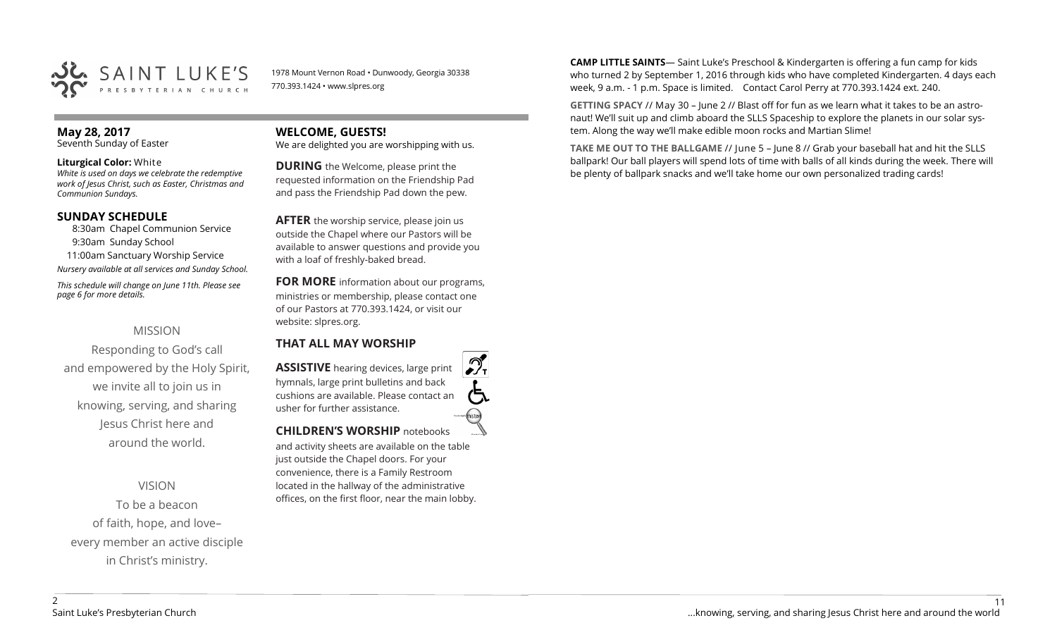

1978 Mount Vernon Road • Dunwoody, Georgia 30338 770.393.1424 • www.slpres.org

# **May 28, 2017**

Seventh Sunday of Easter

#### **Liturgical Color:** White

*White is used on days we celebrate the redemptive work of Jesus Christ, such as Easter, Christmas and Communion Sundays.*

#### **SUNDAY SCHEDULE**

8:30am Chapel Communion Service 9:30am Sunday School

 11:00am Sanctuary Worship Service *Nursery available at all services and Sunday School.*

*This schedule will change on June 11th. Please see page 6 for more details.* 

## MISSION

Responding to God's call and empowered by the Holy Spirit, we invite all to join us in knowing, serving, and sharing Jesus Christ here and around the world.

VISION

To be a beacon of faith, hope, and love– every member an active disciple in Christ's ministry.

**WELCOME, GUESTS!**  We are delighted you are worshipping with us.

**DURING** the Welcome, please print the requested information on the Friendship Pad and pass the Friendship Pad down the pew.

**AFTER** the worship service, please join us outside the Chapel where our Pastors will be available to answer questions and provide you with a loaf of freshly-baked bread.

**FOR MORE** information about our programs, ministries or membership, please contact one of our Pastors at 770.393.1424, or visit our website: slpres.org.

#### **THAT ALL MAY WORSHIP**

**ASSISTIVE** hearing devices, large print hymnals, large print bulletins and back cushions are available. Please contact an usher for further assistance. histext **CHILDREN'S WORSHIP** notebooks

and activity sheets are available on the table just outside the Chapel doors. For your convenience, there is a Family Restroom located in the hallway of the administrative offices, on the first floor, near the main lobby.

**CAMP LITTLE SAINTS**— Saint Luke's Preschool & Kindergarten is offering a fun camp for kids who turned 2 by September 1, 2016 through kids who have completed Kindergarten. 4 days each week, 9 a.m. - 1 p.m. Space is limited. Contact Carol Perry at 770.393.1424 ext. 240.

**GETTING SPACY** // May 30 – June 2 // Blast off for fun as we learn what it takes to be an astronaut! We'll suit up and climb aboard the SLLS Spaceship to explore the planets in our solar system. Along the way we'll make edible moon rocks and Martian Slime!

**TAKE ME OUT TO THE BALLGAME** // June 5 – June 8 // Grab your baseball hat and hit the SLLS ballpark! Our ball players will spend lots of time with balls of all kinds during the week. There will be plenty of ballpark snacks and we'll take home our own personalized trading cards!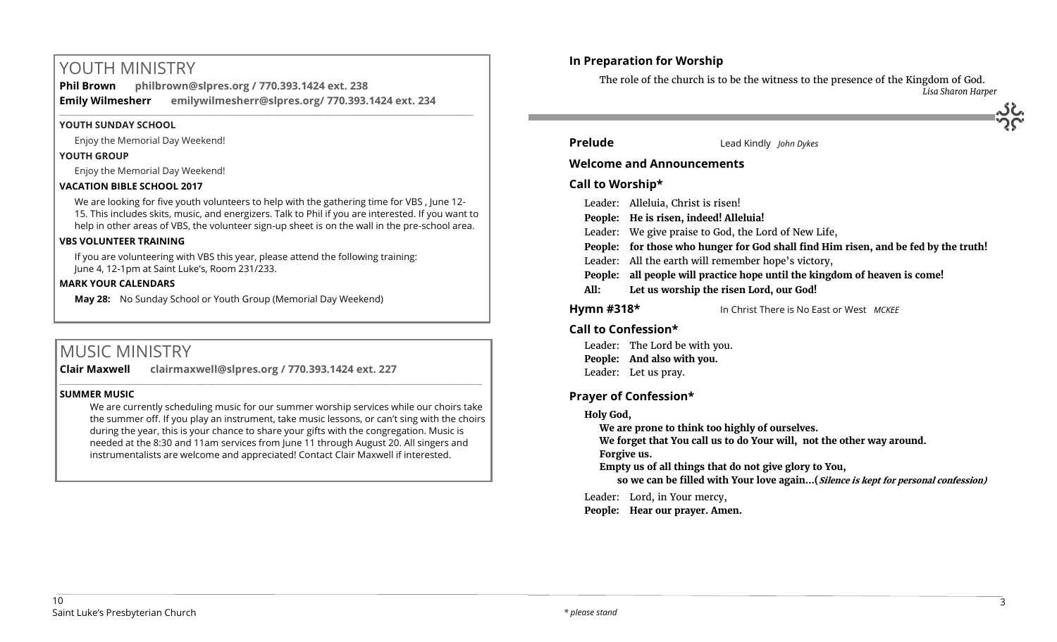# YOUTH MINISTRY

**Phil Brown philbrown@slpres.org / 770.393.1424 ext. 238 Emily Wilmesherr emilywilmesherr@slpres.org/ 770.393.1424 ext. 234**   $\_$  ,  $\_$  ,  $\_$  ,  $\_$  ,  $\_$  ,  $\_$  ,  $\_$  ,  $\_$  ,  $\_$  ,  $\_$  ,  $\_$  ,  $\_$  ,  $\_$  ,  $\_$  ,  $\_$  ,  $\_$  ,  $\_$  ,  $\_$  ,  $\_$  ,  $\_$  ,  $\_$  ,  $\_$  ,  $\_$  ,  $\_$  ,  $\_$  ,  $\_$  ,  $\_$  ,  $\_$  ,  $\_$  ,  $\_$  ,  $\_$  ,  $\_$  ,  $\_$  ,  $\_$  ,  $\_$  ,  $\_$  ,  $\_$  ,

#### **YOUTH SUNDAY SCHOOL**

Enjoy the Memorial Day Weekend!

#### **YOUTH GROUP**

Enjoy the Memorial Day Weekend!

#### **VACATION BIBLE SCHOOL 2017**

We are looking for five youth volunteers to help with the gathering time for VBS , June 12- 15. This includes skits, music, and energizers. Talk to Phil if you are interested. If you want to help in other areas of VBS, the volunteer sign-up sheet is on the wall in the pre-school area.

#### **VBS VOLUNTEER TRAINING**

If you are volunteering with VBS this year, please attend the following training: June 4, 12-1pm at Saint Luke's, Room 231/233.

#### **MARK YOUR CALENDARS**

**May 28:** No Sunday School or Youth Group (Memorial Day Weekend)

# MUSIC MINISTRY

**Clair Maxwell clairmaxwell@slpres.org / 770.393.1424 ext. 227** 

#### **SUMMER MUSIC**

We are currently scheduling music for our summer worship services while our choirs take the summer off. If you play an instrument, take music lessons, or can't sing with the choirs during the year, this is your chance to share your gifts with the congregation. Music is needed at the 8:30 and 11am services from June 11 through August 20. All singers and instrumentalists are welcome and appreciated! Contact Clair Maxwell if interested.

\_\_\_\_\_\_\_\_\_\_\_\_\_\_\_\_\_\_\_\_\_\_\_\_\_\_\_\_\_\_\_\_\_\_\_\_\_\_\_\_\_\_\_\_\_\_\_\_\_\_\_\_\_\_\_\_\_\_\_\_\_\_\_\_\_\_\_\_\_\_\_\_\_\_\_\_\_\_\_\_\_\_\_\_\_\_\_\_\_\_\_\_\_\_\_\_\_\_\_\_

## **In Preparation for Worship**

The role of the church is to be the witness to the presence of the Kingdom of God. *Lisa Sharon Harper*

# **Prelude** Lead Kindly *John Dykes*

#### **Welcome and Announcements**

#### **Call to Worship\***

| Leader: Alleluia, Christ is risen! |  |
|------------------------------------|--|
|------------------------------------|--|

- **People: He is risen, indeed! Alleluia!**
- Leader: We give praise to God, the Lord of New Life,
- **People: for those who hunger for God shall find Him risen, and be fed by the truth!**
- Leader: All the earth will remember hope's victory,
- **People: all people will practice hope until the kingdom of heaven is come!**
- **All: Let us worship the risen Lord, our God!**
- 

**Hymn #318\*** In Christ There is No East or West *MCKEE*

#### **Call to Confession\***

Leader: The Lord be with you. **People: And also with you.** Leader: Let us pray.

## **Prayer of Confession\***

#### **Holy God,**

**We are prone to think too highly of ourselves.**

**We forget that You call us to do Your will, not the other way around.**

**Forgive us.**

**Empty us of all things that do not give glory to You,**

**so we can be filled with Your love again...(Silence is kept for personal confession)** 

Leader: Lord, in Your mercy,

**People: Hear our prayer. Amen.**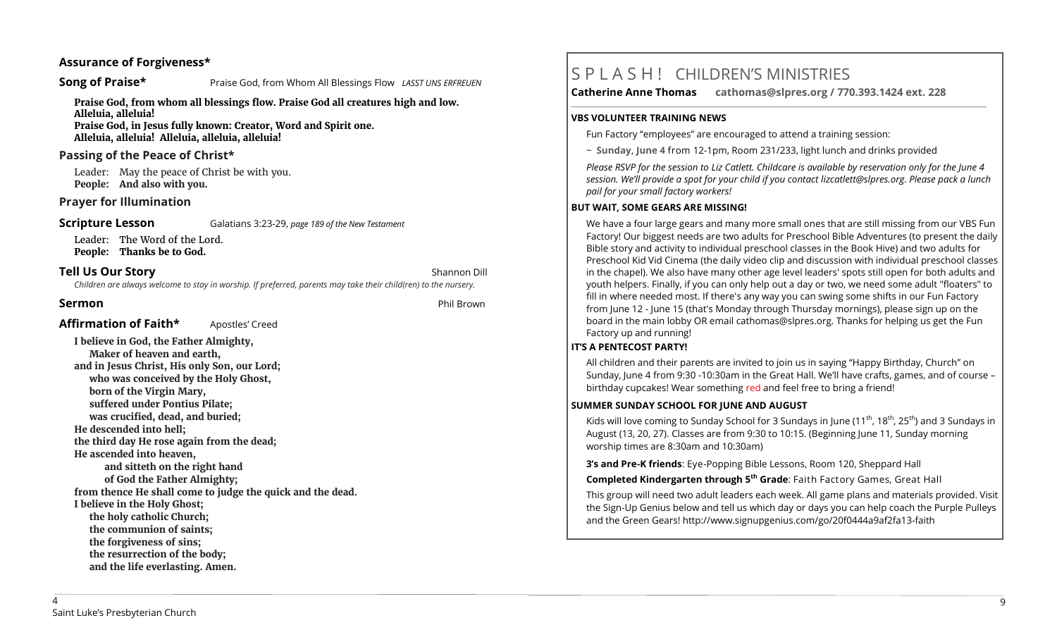#### **Assurance of Forgiveness\***

# **Song of Praise\*** Praise God, from Whom All Blessings Flow *LASST UNS ERFREUEN*

**Praise God, from whom all blessings flow. Praise God all creatures high and low. Alleluia, alleluia!** 

**Praise God, in Jesus fully known: Creator, Word and Spirit one. Alleluia, alleluia! Alleluia, alleluia, alleluia!** 

#### **Passing of the Peace of Christ\***

Leader: May the peace of Christ be with you. **People: And also with you.**

#### **Prayer for Illumination**

**Scripture Lesson** Galatians 3:23-29, *page 189 of the New Testament* 

Leader: The Word of the Lord. **People: Thanks be to God.**

# **Tell Us Our Story Shannon Dill Contract Contract Contract Contract Contract Contract Contract Contract Contract Contract Contract Contract Contract Contract Contract Contract Contract Contract Contract Contract Contra**

*Children are always welcome to stay in worship. If preferred, parents may take their child(ren) to the nursery.*

## **Sermon** Phil Brown

Affirmation of Faith\* **Apostles'** Creed

**I believe in God, the Father Almighty, Maker of heaven and earth, and in Jesus Christ, His only Son, our Lord; who was conceived by the Holy Ghost, born of the Virgin Mary, suffered under Pontius Pilate; was crucified, dead, and buried; He descended into hell; the third day He rose again from the dead; He ascended into heaven, and sitteth on the right hand of God the Father Almighty; from thence He shall come to judge the quick and the dead. I believe in the Holy Ghost; the holy catholic Church; the communion of saints; the forgiveness of sins; the resurrection of the body; and the life everlasting. Amen.**

# S P L A S H ! CHILDREN'S MINISTRIES

**Catherine Anne Thomas cathomas@slpres.org / 770.393.1424 ext. 228 \_\_\_\_\_\_\_\_\_\_\_\_\_\_\_\_\_\_\_\_\_\_\_\_\_\_\_\_\_\_\_\_\_\_\_\_\_\_\_\_\_\_\_\_\_\_\_\_\_\_\_\_\_\_\_\_\_\_\_\_\_\_\_\_\_\_\_\_\_\_\_\_\_\_\_\_\_\_\_\_\_\_\_\_\_\_\_\_\_\_\_\_\_\_\_\_\_\_\_\_\_\_\_\_\_\_\_** 

#### **VBS VOLUNTEER TRAINING NEWS**

Fun Factory "employees" are encouraged to attend a training session:

~ **Sunday, June 4** from 12-1pm, Room 231/233, light lunch and drinks provided

*Please RSVP for the session to Liz Catlett. Childcare is available by reservation only for the June 4 session. We'll provide a spot for your child if you contact [lizcatlett@slpres.org.](mailto:lizcatlett@slpres.org) Please pack a lunch pail for your small factory workers!*

#### **BUT WAIT, SOME GEARS ARE MISSING!**

We have a four large gears and many more small ones that are still missing from our VBS Fun Factory! Our biggest needs are two adults for Preschool Bible Adventures (to present the daily Bible story and activity to individual preschool classes in the Book Hive) and two adults for Preschool Kid Vid Cinema (the daily video clip and discussion with individual preschool classes in the chapel). We also have many other age level leaders' spots still open for both adults and youth helpers. Finally, if you can only help out a day or two, we need some adult "floaters" to fill in where needed most. If there's any way you can swing some shifts in our Fun Factory from June 12 - June 15 (that's Monday through Thursday mornings), please sign up on the board in the main lobby OR email [cathomas@slpres.org.](mailto:cathomas@slpres.orgThanks) Thanks for helping us get the Fun Factory up and running!

## **IT'S A PENTECOST PARTY!**

All children and their parents are invited to join us in saying "Happy Birthday, Church" on Sunday, June 4 from 9:30 -10:30am in the Great Hall. We'll have crafts, games, and of course – birthday cupcakes! Wear something red and feel free to bring a friend!

## **SUMMER SUNDAY SCHOOL FOR JUNE AND AUGUST**

Kids will love coming to Sunday School for 3 Sundays in June (11<sup>th</sup>, 18<sup>th</sup>, 25<sup>th</sup>) and 3 Sundays in August (13, 20, 27). Classes are from 9:30 to 10:15. (Beginning June 11, Sunday morning worship times are 8:30am and 10:30am)

**3's and Pre-K friends**: Eye-Popping Bible Lessons, Room 120, Sheppard Hall

**Completed Kindergarten through 5th Grade**: Faith Factory Games, Great Hall

This group will need two adult leaders each week. All game plans and materials provided. Visit the Sign-Up Genius below and tell us which day or days you can help coach the Purple Pulleys and the Green Gears! [http://www.signupgenius.com/go/20f0444a9af2fa13](http://www.signupgenius.com/go/20f0444a9af2fa13-faith)-faith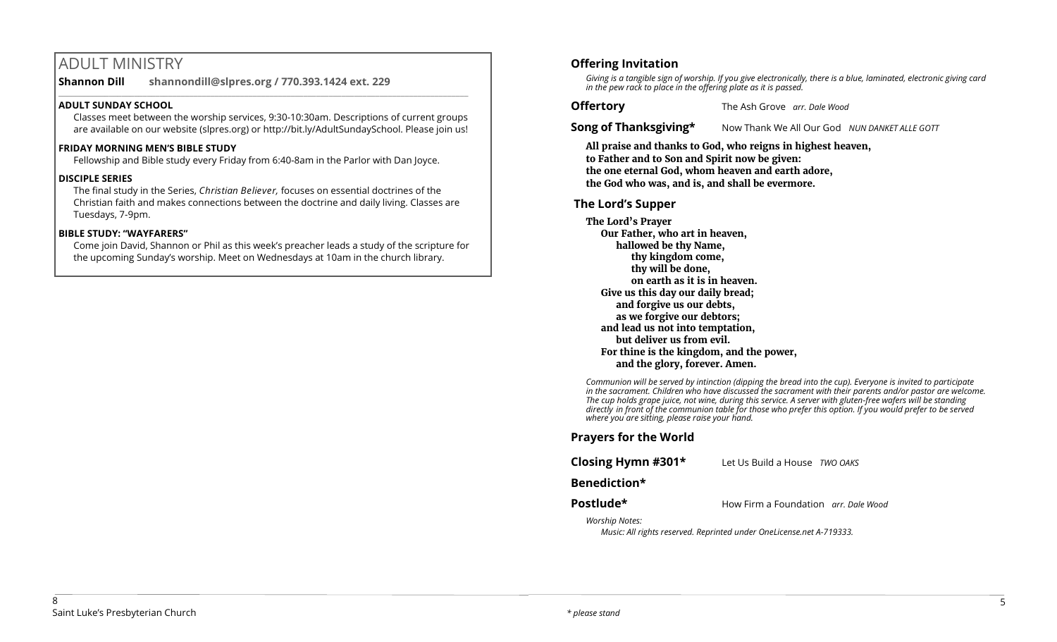# ADULT MINISTRY

**Shannon Dill shannondill@slpres.org / 770.393.1424 ext. 229**   $\_$  ,  $\_$  ,  $\_$  ,  $\_$  ,  $\_$  ,  $\_$  ,  $\_$  ,  $\_$  ,  $\_$  ,  $\_$  ,  $\_$  ,  $\_$  ,  $\_$  ,  $\_$  ,  $\_$  ,  $\_$  ,  $\_$  ,  $\_$  ,  $\_$ 

#### **ADULT SUNDAY SCHOOL**

Classes meet between the worship services, 9:30-10:30am. Descriptions of current groups are available on our website (slpres.org) or http://bit.ly/AdultSundaySchool. Please join us!

#### **FRIDAY MORNING MEN'S BIBLE STUDY**

Fellowship and Bible study every Friday from 6:40-8am in the Parlor with Dan Joyce.

#### **DISCIPLE SERIES**

The final study in the Series, *Christian Believer,* focuses on essential doctrines of the Christian faith and makes connections between the doctrine and daily living. Classes are Tuesdays, 7-9pm.

#### **BIBLE STUDY: "WAYFARERS"**

Come join David, Shannon or Phil as this week's preacher leads a study of the scripture for the upcoming Sunday's worship. Meet on Wednesdays at 10am in the church library.

# **Offering Invitation**

*Giving is a tangible sign of worship. If you give electronically, there is a blue, laminated, electronic giving card in the pew rack to place in the offering plate as it is passed.*

**Offertory** The Ash Grove *arr. Dale Wood*

**Song of Thanksgiving\*** Now Thank We All Our God *NUN DANKET ALLE GOTT* 

**All praise and thanks to God, who reigns in highest heaven, to Father and to Son and Spirit now be given: the one eternal God, whom heaven and earth adore, the God who was, and is, and shall be evermore.** 

#### **The Lord's Supper**

**The Lord's Prayer Our Father, who art in heaven, hallowed be thy Name, thy kingdom come, thy will be done, on earth as it is in heaven. Give us this day our daily bread; and forgive us our debts, as we forgive our debtors; and lead us not into temptation, but deliver us from evil. For thine is the kingdom, and the power, and the glory, forever. Amen.**

*Communion will be served by intinction (dipping the bread into the cup). Everyone is invited to participate in the sacrament. Children who have discussed the sacrament with their parents and/or pastor are welcome. The cup holds grape juice, not wine, during this service. A server with gluten-free wafers will be standing directly in front of the communion table for those who prefer this option. If you would prefer to be served where you are sitting, please raise your hand.* 

#### **Prayers for the World**

**Closing Hymn #301\*** Let Us Build a House *TWO OAKS*

#### **Benediction\***

**Postlude\*** How Firm a Foundation *arr. Dale Wood* 

*Worship Notes: Music: All rights reserved. Reprinted under OneLicense.net A-719333.*